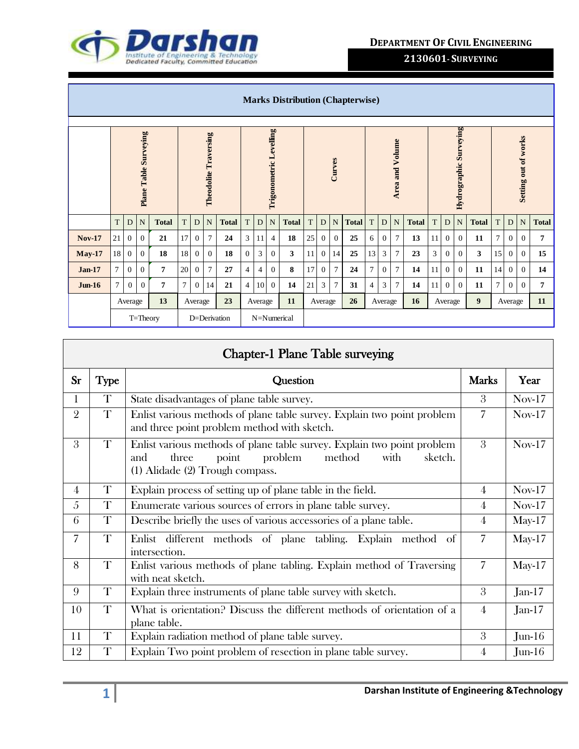

|               | <b>Marks Distribution (Chapterwise)</b>     |                |                |              |                     |                |                              |               |                |    |                         |              |    |                  |                |              |                |                |                        |              |    |                |                        |              |    |                      |                |              |
|---------------|---------------------------------------------|----------------|----------------|--------------|---------------------|----------------|------------------------------|---------------|----------------|----|-------------------------|--------------|----|------------------|----------------|--------------|----------------|----------------|------------------------|--------------|----|----------------|------------------------|--------------|----|----------------------|----------------|--------------|
|               | <b>Plane Table Surveying</b>                |                |                |              |                     |                | <b>Theodolite Traversing</b> |               |                |    | Trigonometric Levelling |              |    |                  | Curves         |              |                |                | <b>Area and Volume</b> |              |    |                | Hydrographic Surveying |              |    | Setting out of works |                |              |
|               | T                                           | D              | N              | <b>Total</b> | T.                  | D              | $\mathbf N$                  | <b>Total</b>  | T              | D  | $\mathbf N$             | <b>Total</b> | T  | $\mathbf D$      | N              | <b>Total</b> | T              | D              | N                      | <b>Total</b> | T  | D              | $\mathbf N$            | <b>Total</b> | T  | D                    | N              | <b>Total</b> |
| <b>Nov-17</b> | 21                                          | $\mathbf{0}$   | $\overline{0}$ | 21           | 17                  | $\overline{0}$ | $\overline{7}$               | 24            | 3              | 11 | $\overline{4}$          | 18           | 25 | $\mathbf{0}$     | $\mathbf{0}$   | 25           | 6              | $\overline{0}$ | $\tau$                 | 13           | 11 | $\mathbf{0}$   | $\overline{0}$         | 11           | 7  | $\mathbf{0}$         | $\overline{0}$ | 7            |
| <b>May-17</b> | 18                                          | $\mathbf{0}$   | $\overline{0}$ | 18           | 18                  | $\overline{0}$ | $\overline{0}$               | 18            | $\overline{0}$ | 3  | $\overline{0}$          | 3            | 11 | $\mathbf{0}$     | 14             | 25           | 13             | 3              | $\tau$                 | 23           | 3  | $\overline{0}$ | $\mathbf{0}$           | 3            | 15 | $\boldsymbol{0}$     | $\overline{0}$ | 15           |
| <b>Jan-17</b> | $\tau$                                      | $\mathbf{0}$   | $\Omega$       | 7            | 20                  | $\Omega$       | $\overline{7}$               | 27            | 4              | 4  | $\overline{0}$          | 8            | 17 | $\mathbf{0}$     | $\overline{7}$ | 24           | $\overline{7}$ | $\overline{0}$ | $\overline{7}$         | 14           | 11 | $\theta$       | $\theta$               | 11           | 14 | $\overline{0}$       | $\overline{0}$ | 14           |
| $J$ un- $16$  | $\tau$                                      | $\overline{0}$ | $\Omega$       | 7            | $\tau$              | $\overline{0}$ | 14                           | 21            | $\overline{4}$ | 10 | $\overline{0}$          | 14           | 21 | 3                | $\overline{7}$ | 31           | 4              | 3              | $\overline{7}$         | 14           | 11 | $\mathbf{0}$   | $\mathbf{0}$           | 11           | 7  | $\overline{0}$       | $\overline{0}$ | 7            |
|               | 13<br>23<br>Average<br>Average<br>Average   |                |                |              | 11<br>26<br>Average |                |                              | 16<br>Average |                |    |                         | Average      |    | $\boldsymbol{9}$ |                | Average      |                | 11             |                        |              |    |                |                        |              |    |                      |                |              |
|               | D=Derivation<br>N=Numerical<br>$T = Theory$ |                |                |              |                     |                |                              |               |                |    |                         |              |    |                  |                |              |                |                |                        |              |    |                |                        |              |    |                      |                |              |

|                | <b>Chapter-1 Plane Table surveying</b> |                                                                                                                                                                             |                |          |  |  |  |  |  |  |
|----------------|----------------------------------------|-----------------------------------------------------------------------------------------------------------------------------------------------------------------------------|----------------|----------|--|--|--|--|--|--|
| <b>Sr</b>      | <b>Type</b>                            | Question                                                                                                                                                                    | <b>Marks</b>   | Year     |  |  |  |  |  |  |
| 1              | T                                      | State disadvantages of plane table survey.                                                                                                                                  | 3              | $Nov-17$ |  |  |  |  |  |  |
| $\overline{2}$ | T                                      | Enlist various methods of plane table survey. Explain two point problem<br>and three point problem method with sketch.                                                      | 7              | $Nov-17$ |  |  |  |  |  |  |
| 3              | T                                      | Enlist various methods of plane table survey. Explain two point problem<br>method<br>with<br>sketch.<br>three<br>point<br>problem<br>and<br>(1) Alidade (2) Trough compass. | 3              | $Nov-17$ |  |  |  |  |  |  |
| $\overline{4}$ | T                                      | Explain process of setting up of plane table in the field.                                                                                                                  | $\overline{4}$ | $Nov-17$ |  |  |  |  |  |  |
| 5              | T                                      | Enumerate various sources of errors in plane table survey.                                                                                                                  | 4              | $Nov-17$ |  |  |  |  |  |  |
| 6              | T                                      | Describe briefly the uses of various accessories of a plane table.                                                                                                          | $\overline{4}$ | $May-17$ |  |  |  |  |  |  |
| $\overline{7}$ | T                                      | Enlist different methods of plane tabling. Explain method of<br>intersection.                                                                                               | $\overline{7}$ | $May-17$ |  |  |  |  |  |  |
| 8              | T                                      | Enlist various methods of plane tabling. Explain method of Traversing<br>with neat sketch.                                                                                  | $\overline{7}$ | $May-17$ |  |  |  |  |  |  |
| 9              | T                                      | Explain three instruments of plane table survey with sketch.                                                                                                                | 3              | $Jan-17$ |  |  |  |  |  |  |
| 10             | T                                      | What is orientation? Discuss the different methods of orientation of a<br>plane table.                                                                                      | $\overline{4}$ | $Jan-17$ |  |  |  |  |  |  |
| 11             | T                                      | Explain radiation method of plane table survey.                                                                                                                             | 3              | $Jun-16$ |  |  |  |  |  |  |
| 12             | T                                      | Explain Two point problem of resection in plane table survey.                                                                                                               | $\overline{4}$ | $Jun-16$ |  |  |  |  |  |  |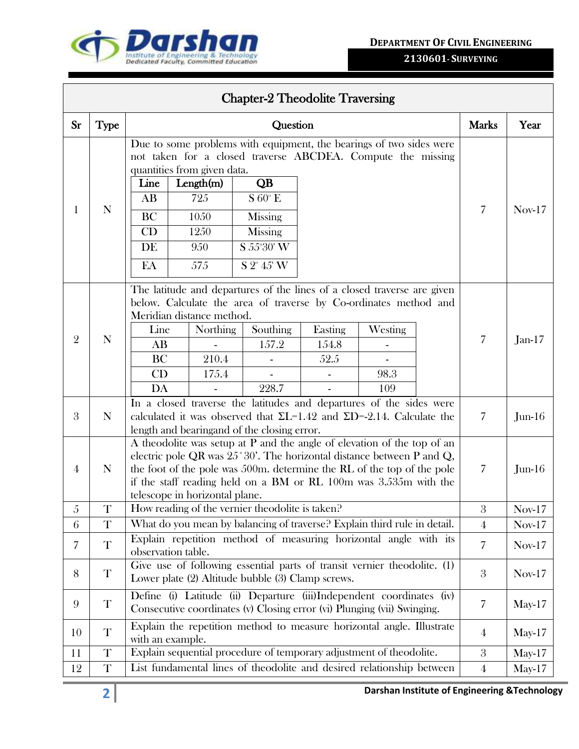



|                |             |                                                                          |                                                | <b>Chapter-2 Theodolite Traversing</b>                                                                                                                                                                                                                                                                     |                          |                        |                |           |
|----------------|-------------|--------------------------------------------------------------------------|------------------------------------------------|------------------------------------------------------------------------------------------------------------------------------------------------------------------------------------------------------------------------------------------------------------------------------------------------------------|--------------------------|------------------------|----------------|-----------|
| <b>Sr</b>      | <b>Type</b> |                                                                          |                                                | Question                                                                                                                                                                                                                                                                                                   |                          |                        | <b>Marks</b>   | Year      |
| 1              | N           | quantities from given data.<br>Line<br>AB<br><b>BC</b><br>CD<br>DE<br>EA | Length(m)<br>725<br>1050<br>1250<br>950<br>575 | Due to some problems with equipment, the bearings of two sides were<br>not taken for a closed traverse ABCDEA. Compute the missing<br>QB<br>$S 60^\circ E$<br><b>Missing</b><br>Missing<br>S 55°30' W<br>$S 2^{\circ} 45' W$                                                                               |                          |                        | 7              | $Nov-17$  |
| $\overline{2}$ | $\mathbf N$ | Meridian distance method.<br>Line<br>AB<br>BC<br>CD<br>DA                | Northing<br>210.4<br>175.4                     | The latitude and departures of the lines of a closed traverse are given<br>below. Calculate the area of traverse by Co-ordinates method and<br>Southing<br>157.2<br>228.7                                                                                                                                  | Easting<br>154.8<br>52.5 | Westing<br>98.3<br>109 | 7              | $Jan-17$  |
| 3              | $\mathbf N$ |                                                                          |                                                | In a closed traverse the latitudes and departures of the sides were<br>calculated it was observed that $\Sigma L$ =1.42 and $\Sigma D$ =-2.14. Calculate the<br>length and bearing and of the closing error.                                                                                               |                          |                        | 7              | $Jun-16$  |
| $\overline{4}$ | $\mathbf N$ | telescope in horizontal plane.                                           |                                                | A theodolite was setup at $P$ and the angle of elevation of the top of an<br>electric pole QR was $25^{\circ}30'$ . The horizontal distance between P and Q,<br>the foot of the pole was 500m. determine the RL of the top of the pole<br>if the staff reading held on a BM or RL 100m was 3.535m with the |                          |                        | 7              | $J$ un-16 |
| 5              | $\mathbf T$ |                                                                          |                                                | How reading of the vernier theodolite is taken?                                                                                                                                                                                                                                                            |                          |                        | $\,3$          | $Nov-17$  |
| 6              | T           |                                                                          |                                                | What do you mean by balancing of traverse? Explain third rule in detail.                                                                                                                                                                                                                                   |                          |                        | $\overline{4}$ | $Nov-17$  |
| 7              | T           | observation table.                                                       |                                                | Explain repetition method of measuring horizontal angle with its                                                                                                                                                                                                                                           |                          |                        | $\overline{7}$ | $Nov-17$  |
| 8              | $\mathbf T$ |                                                                          |                                                | Give use of following essential parts of transit vernier theodolite. (1)<br>Lower plate (2) Altitude bubble (3) Clamp screws.                                                                                                                                                                              |                          |                        | 3              | $Nov-17$  |
| 9              | T           |                                                                          |                                                | Define (i) Latitude (ii) Departure (iii)Independent coordinates (iv)<br>Consecutive coordinates (v) Closing error (vi) Plunging (vii) Swinging.                                                                                                                                                            |                          |                        | 7              | $May-17$  |
| 10             | T           | with an example.                                                         |                                                | Explain the repetition method to measure horizontal angle. Illustrate                                                                                                                                                                                                                                      |                          |                        | $\overline{4}$ | $May-17$  |
| 11             | $\mathbf T$ |                                                                          |                                                | Explain sequential procedure of temporary adjustment of theodolite.                                                                                                                                                                                                                                        |                          |                        | $\mathfrak{z}$ | $May-17$  |
| 12             | $\mathbf T$ |                                                                          |                                                | List fundamental lines of theodolite and desired relationship between                                                                                                                                                                                                                                      |                          |                        | $\overline{4}$ | $May-17$  |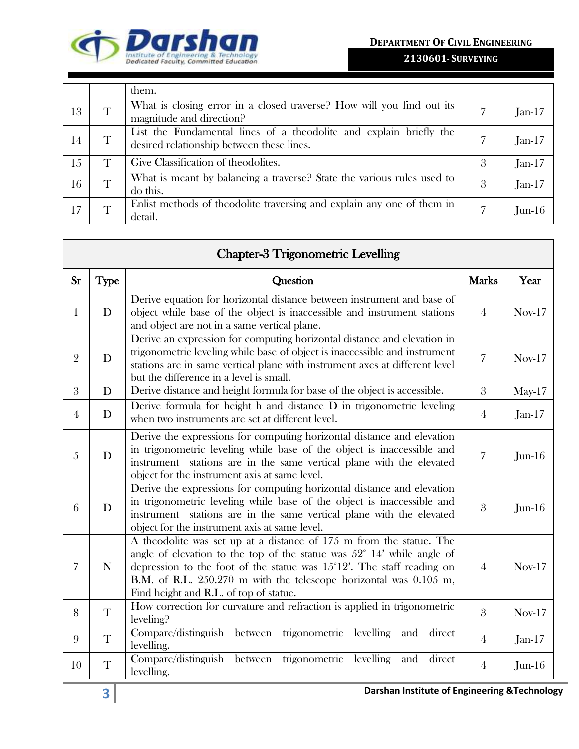



|    |              | them.                                                                                                           |   |          |
|----|--------------|-----------------------------------------------------------------------------------------------------------------|---|----------|
| 13 | T            | What is closing error in a closed traverse? How will you find out its<br>magnitude and direction?               |   | $Jan-17$ |
| 14 | T            | List the Fundamental lines of a theodolite and explain briefly the<br>desired relationship between these lines. |   | $Jan-17$ |
| 15 | T            | Give Classification of theodolites.                                                                             | 3 | $Jan-17$ |
| 16 | T            | What is meant by balancing a traverse? State the various rules used to<br>do this.                              | 3 | $Jan-17$ |
| 17 | $\mathbf{T}$ | Enlist methods of theodolite traversing and explain any one of them in<br>detail.                               |   | $Jun-16$ |

|                |             | <b>Chapter-3 Trigonometric Levelling</b>                                                                                                                                                                                                                                                                                                                 |                |          |
|----------------|-------------|----------------------------------------------------------------------------------------------------------------------------------------------------------------------------------------------------------------------------------------------------------------------------------------------------------------------------------------------------------|----------------|----------|
| <b>Sr</b>      | <b>Type</b> | Question                                                                                                                                                                                                                                                                                                                                                 | <b>Marks</b>   | Year     |
| $\mathbf{1}$   | D           | Derive equation for horizontal distance between instrument and base of<br>object while base of the object is inaccessible and instrument stations<br>and object are not in a same vertical plane.                                                                                                                                                        | $\overline{4}$ | $Nov-17$ |
| $\overline{2}$ | D           | Derive an expression for computing horizontal distance and elevation in<br>trigonometric leveling while base of object is inaccessible and instrument<br>stations are in same vertical plane with instrument axes at different level<br>but the difference in a level is small.                                                                          | $\overline{7}$ | $Nov-17$ |
| 3              | D           | Derive distance and height formula for base of the object is accessible.                                                                                                                                                                                                                                                                                 | $\mathfrak{Z}$ | $May-17$ |
| 4              | D           | Derive formula for height h and distance D in trigonometric leveling<br>when two instruments are set at different level.                                                                                                                                                                                                                                 | 4              | $Jan-17$ |
| 5              | D           | Derive the expressions for computing horizontal distance and elevation<br>in trigonometric leveling while base of the object is inaccessible and<br>instrument stations are in the same vertical plane with the elevated<br>object for the instrument axis at same level.                                                                                | $\overline{7}$ | $Jun-16$ |
| 6              | D           | Derive the expressions for computing horizontal distance and elevation<br>in trigonometric leveling while base of the object is inaccessible and<br>instrument stations are in the same vertical plane with the elevated<br>object for the instrument axis at same level.                                                                                | 3              | $Jun-16$ |
| $\overline{7}$ | N           | A theodolite was set up at a distance of 175 m from the statue. The<br>angle of elevation to the top of the statue was $52^{\circ}$ 14' while angle of<br>depression to the foot of the statue was $15^{\circ}12'$ . The staff reading on<br>B.M. of R.L. 250.270 m with the telescope horizontal was 0.105 m,<br>Find height and R.L. of top of statue. | 4              | $Nov-17$ |
| 8              | T           | How correction for curvature and refraction is applied in trigonometric<br>leveling?                                                                                                                                                                                                                                                                     | 3              | $Nov-17$ |
| 9              | T           | Compare/distinguish between trigonometric levelling and<br>direct<br>levelling.                                                                                                                                                                                                                                                                          | $\overline{4}$ | $Jan-17$ |
| 10             | T           | Compare/distinguish between trigonometric levelling<br>direct<br>and<br>levelling.                                                                                                                                                                                                                                                                       | $\overline{4}$ | $Jun-16$ |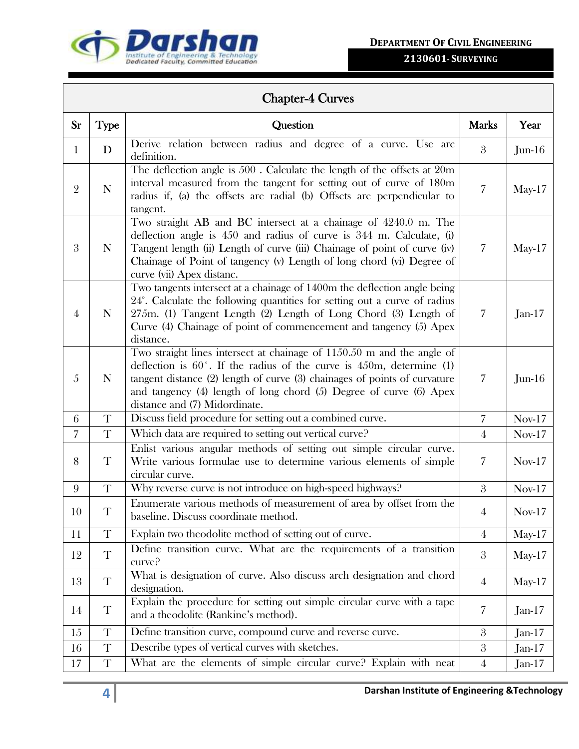

## **2130601- SURVEYING**

## Chapter-4 Curves

| $S_{r}$        | <b>Type</b> | Question                                                                                                                                                                                                                                                                                                                                          | <b>Marks</b>     | Year     |
|----------------|-------------|---------------------------------------------------------------------------------------------------------------------------------------------------------------------------------------------------------------------------------------------------------------------------------------------------------------------------------------------------|------------------|----------|
| $\mathbf{1}$   | D           | Derive relation between radius and degree of a curve. Use arc<br>definition.                                                                                                                                                                                                                                                                      | 3                | $Jun-16$ |
| $\overline{2}$ | N           | The deflection angle is $500$ . Calculate the length of the offsets at $20m$<br>interval measured from the tangent for setting out of curve of 180m<br>radius if, (a) the offsets are radial (b) Offsets are perpendicular to<br>tangent.                                                                                                         | $\overline{7}$   | $May-17$ |
| 3              | N           | Two straight AB and BC intersect at a chainage of 4240.0 m. The<br>deflection angle is $450$ and radius of curve is $344$ m. Calculate, (i)<br>Tangent length (ii) Length of curve (iii) Chainage of point of curve (iv)<br>Chainage of Point of tangency (v) Length of long chord (vi) Degree of<br>curve (vii) Apex distanc.                    | 7                | $May-17$ |
| $\overline{4}$ | N           | Two tangents intersect at a chainage of 1400m the deflection angle being<br>24°. Calculate the following quantities for setting out a curve of radius<br>275m. (1) Tangent Length (2) Length of Long Chord (3) Length of<br>Curve (4) Chainage of point of commencement and tangency (5) Apex<br>distance.                                        | 7                | $Jan-17$ |
| 5              | $\mathbf N$ | Two straight lines intersect at chainage of 1150.50 m and the angle of<br>deflection is $60^\circ$ . If the radius of the curve is $450$ m, determine (1)<br>tangent distance $(2)$ length of curve $(3)$ chainages of points of curvature<br>and tangency (4) length of long chord (5) Degree of curve (6) Apex<br>distance and (7) Midordinate. | 7                | $Jun-16$ |
| 6              | $\mathbf T$ | Discuss field procedure for setting out a combined curve.                                                                                                                                                                                                                                                                                         | 7                | $Nov-17$ |
| $\overline{7}$ | T           | Which data are required to setting out vertical curve?                                                                                                                                                                                                                                                                                            | $\overline{4}$   | $Nov-17$ |
| 8              | T           | Enlist various angular methods of setting out simple circular curve.<br>Write various formulae use to determine various elements of simple<br>circular curve.                                                                                                                                                                                     | 7                | $Nov-17$ |
| 9              | T           | Why reverse curve is not introduce on high-speed highways?                                                                                                                                                                                                                                                                                        | 3                | $Nov-17$ |
| 10             | $\mathbf T$ | Enumerate various methods of measurement of area by offset from the<br>baseline. Discuss coordinate method.                                                                                                                                                                                                                                       | $\overline{4}$   | $Nov-17$ |
| 11             | T           | Explain two theodolite method of setting out of curve.                                                                                                                                                                                                                                                                                            | $\overline{4}$   | $May-17$ |
| 12             | $\mathbf T$ | Define transition curve. What are the requirements of a transition<br>curve?                                                                                                                                                                                                                                                                      | $\mathbf{3}$     | $May-17$ |
| 13             | T           | What is designation of curve. Also discuss arch designation and chord<br>designation.                                                                                                                                                                                                                                                             | $\overline{4}$   | $May-17$ |
| 14             | T           | Explain the procedure for setting out simple circular curve with a tape<br>and a theodolite (Rankine's method).                                                                                                                                                                                                                                   | 7                | $Jan-17$ |
| 15             | $\mathbf T$ | Define transition curve, compound curve and reverse curve.                                                                                                                                                                                                                                                                                        | $\mathbf{3}$     | $Jan-17$ |
| 16             | $\mathbf T$ | Describe types of vertical curves with sketches.                                                                                                                                                                                                                                                                                                  | $\boldsymbol{3}$ | $Jan-17$ |
| 17             | T           | What are the elements of simple circular curve? Explain with neat                                                                                                                                                                                                                                                                                 | $\overline{4}$   | $Jan-17$ |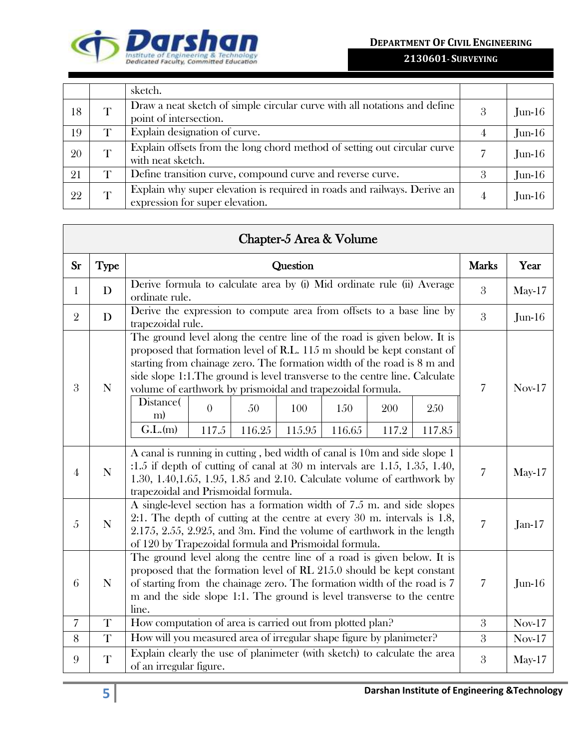**DEPARTMENT OF CIVIL ENGINEERING**



|    |   | sketch.                                                                                                     |   |           |
|----|---|-------------------------------------------------------------------------------------------------------------|---|-----------|
| 18 | T | Draw a neat sketch of simple circular curve with all notations and define<br>point of intersection.         | 3 | $Jun-16$  |
| 19 | T | Explain designation of curve.                                                                               |   | $Jun-16$  |
| 20 | T | Explain offsets from the long chord method of setting out circular curve<br>with neat sketch.               |   | $Jun-16$  |
| 21 | T | Define transition curve, compound curve and reverse curve.                                                  | 3 | $J$ un-16 |
| 22 |   | Explain why super elevation is required in roads and railways. Derive an<br>expression for super elevation. |   | $J$ un-16 |

|                |             | Chapter-5 Area & Volume                                                                                                                                                                                                                                                                                                                                                                                                                                                                                           |                |          |
|----------------|-------------|-------------------------------------------------------------------------------------------------------------------------------------------------------------------------------------------------------------------------------------------------------------------------------------------------------------------------------------------------------------------------------------------------------------------------------------------------------------------------------------------------------------------|----------------|----------|
| <b>Sr</b>      | <b>Type</b> | Question                                                                                                                                                                                                                                                                                                                                                                                                                                                                                                          | <b>Marks</b>   | Year     |
| $\mathbf{1}$   | D           | Derive formula to calculate area by (i) Mid ordinate rule (ii) Average<br>ordinate rule.                                                                                                                                                                                                                                                                                                                                                                                                                          | 3              | $May-17$ |
| $\overline{2}$ | D           | Derive the expression to compute area from offsets to a base line by<br>trapezoidal rule.                                                                                                                                                                                                                                                                                                                                                                                                                         | 3              | $Jun-16$ |
| 3              | N           | The ground level along the centre line of the road is given below. It is<br>proposed that formation level of R.L. 115 m should be kept constant of<br>starting from chainage zero. The formation width of the road is 8 m and<br>side slope 1:1. The ground is level transverse to the centre line. Calculate<br>volume of earthwork by prismoidal and trapezoidal formula.<br>Distance(<br>$\theta$<br>50<br>100<br>250<br>150<br>200<br>m)<br>G.L.(m)<br>117.5<br>116.25<br>115.95<br>116.65<br>117.2<br>117.85 | 7              | $Nov-17$ |
| 4              | $\mathbf N$ | A canal is running in cutting, bed width of canal is 10m and side slope 1<br>$:1.5$ if depth of cutting of canal at 30 m intervals are 1.15, 1.35, 1.40,<br>1.30, 1.40, 1.65, 1.95, 1.85 and 2.10. Calculate volume of earthwork by<br>trapezoidal and Prismoidal formula.                                                                                                                                                                                                                                        | $\overline{7}$ | $May-17$ |
| 5              | $\mathbf N$ | A single-level section has a formation width of 7.5 m, and side slopes<br>2:1. The depth of cutting at the centre at every $30 \text{ m}$ intervals is 1.8,<br>2.175, 2.55, 2.925, and 3m. Find the volume of earthwork in the length<br>of 120 by Trapezoidal formula and Prismoidal formula.                                                                                                                                                                                                                    | $\overline{7}$ | $Jan-17$ |
| 6              | $\mathbf N$ | The ground level along the centre line of a road is given below. It is<br>proposed that the formation level of RL 215.0 should be kept constant<br>of starting from the chainage zero. The formation width of the road is 7<br>m and the side slope 1:1. The ground is level transverse to the centre<br>line.                                                                                                                                                                                                    | $\overline{7}$ | $Jun-16$ |
| $\overline{7}$ | T           | How computation of area is carried out from plotted plan?                                                                                                                                                                                                                                                                                                                                                                                                                                                         | $\mathfrak{Z}$ | $Nov-17$ |
| 8              | $\mathbf T$ | How will you measured area of irregular shape figure by planimeter?                                                                                                                                                                                                                                                                                                                                                                                                                                               | 3              | $Nov-17$ |
| 9              | T           | Explain clearly the use of planimeter (with sketch) to calculate the area<br>of an irregular figure.                                                                                                                                                                                                                                                                                                                                                                                                              | 3              | $May-17$ |